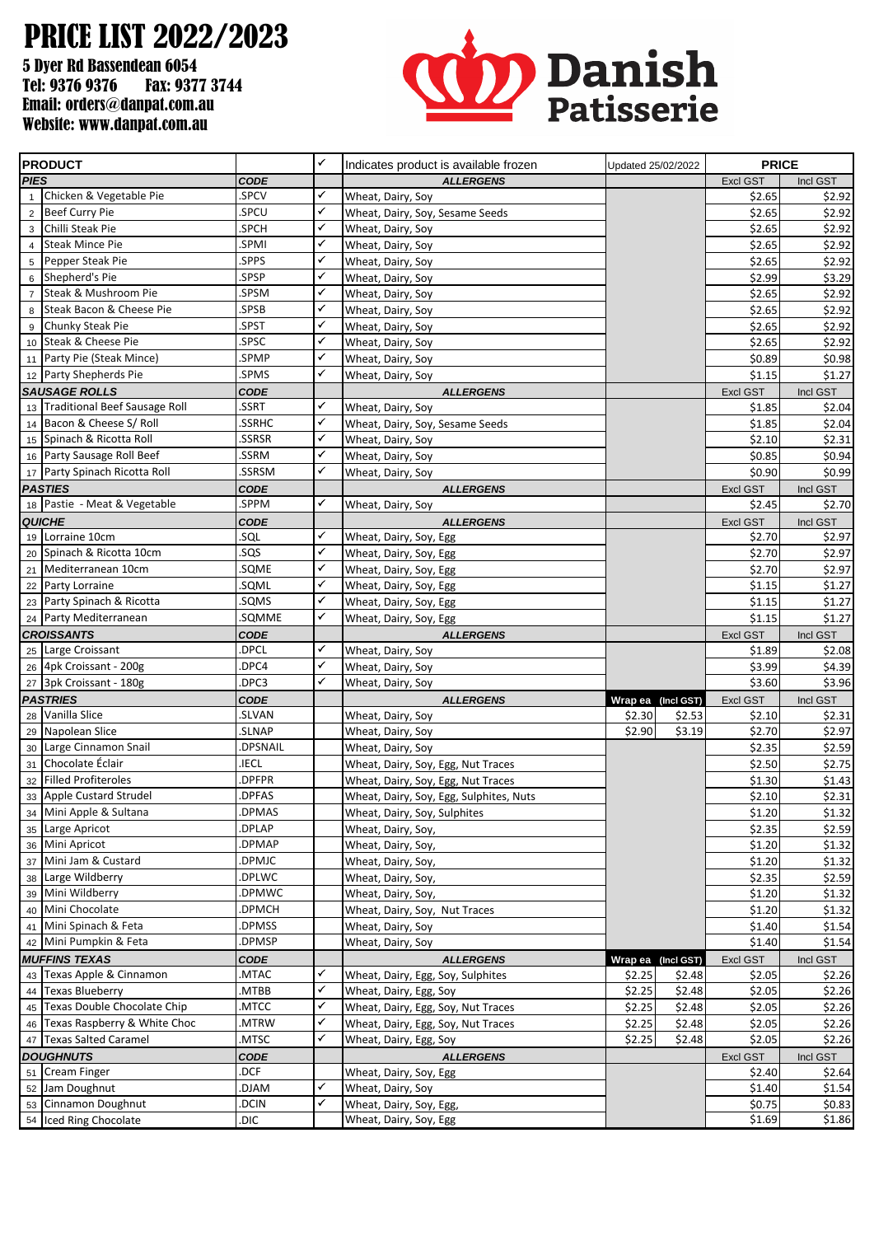## PRICE LIST 2022/2023

5 Dyer Rd Bassendean 6054 Tel: 9376 9376 Fax: 9377 3744 Email: orders@danpat.com.au Website: www.danpat.com.au



| <b>PRODUCT</b>       |                                          |                  | $\checkmark$ | Indicates product is available frozen    | Updated 25/02/2022 |        |                  | <b>PRICE</b>     |  |
|----------------------|------------------------------------------|------------------|--------------|------------------------------------------|--------------------|--------|------------------|------------------|--|
| <b>PIES</b>          |                                          | <b>CODE</b>      |              | <b>ALLERGENS</b>                         |                    |        | <b>Excl GST</b>  | Incl GST         |  |
| $\mathbf{1}$         | Chicken & Vegetable Pie                  | .SPCV            | ✓            | Wheat, Dairy, Soy                        |                    |        | \$2.65           | \$2.92           |  |
|                      | 2 Beef Curry Pie                         | SPCU.            | $\checkmark$ | Wheat, Dairy, Soy, Sesame Seeds          |                    |        | \$2.65           | \$2.92           |  |
| 3                    | Chilli Steak Pie                         | .SPCH            | $\checkmark$ | Wheat, Dairy, Soy                        |                    |        | \$2.65           | \$2.92           |  |
| $\overline{4}$       | <b>Steak Mince Pie</b>                   | .SPMI            | ✓            | Wheat, Dairy, Soy                        |                    |        | \$2.65           | \$2.92           |  |
| 5                    | Pepper Steak Pie                         | SPPS.            | $\checkmark$ | Wheat, Dairy, Soy                        |                    |        | \$2.65           | \$2.92           |  |
| 6                    | Shepherd's Pie                           | .SPSP            | ✓            | Wheat, Dairy, Soy                        |                    |        | \$2.99           | \$3.29           |  |
| $\overline{7}$       | Steak & Mushroom Pie                     | .SPSM            | ✓            | Wheat, Dairy, Soy                        |                    |        | \$2.65           | \$2.92           |  |
| 8                    | Steak Bacon & Cheese Pie                 | .SPSB            | ✓            | Wheat, Dairy, Soy                        |                    |        | \$2.65           | \$2.92           |  |
| 9                    | Chunky Steak Pie                         | .SPST            | $\checkmark$ | Wheat, Dairy, Soy                        |                    |        | \$2.65           | \$2.92           |  |
|                      | 10 Steak & Cheese Pie                    | .SPSC            | ✓            | Wheat, Dairy, Soy                        |                    |        | \$2.65           | \$2.92           |  |
|                      | 11 Party Pie (Steak Mince)               | SPMP.            | ✓            | Wheat, Dairy, Soy                        |                    |        | \$0.89           | \$0.98           |  |
|                      | 12 Party Shepherds Pie                   | .SPMS            | ✓            | Wheat, Dairy, Soy                        |                    |        | \$1.15           | \$1.27           |  |
| <b>SAUSAGE ROLLS</b> |                                          | <b>CODE</b>      |              | <b>ALLERGENS</b>                         |                    |        | Excl GST         | Incl GST         |  |
|                      | 13 Traditional Beef Sausage Roll         | .SSRT            | ✓            | Wheat, Dairy, Soy                        |                    |        | \$1.85           | \$2.04           |  |
|                      | 14 Bacon & Cheese S/ Roll                | .SSRHC           | $\checkmark$ | Wheat, Dairy, Soy, Sesame Seeds          |                    |        | \$1.85           | \$2.04           |  |
|                      | 15 Spinach & Ricotta Roll                | .SSRSR           | $\checkmark$ | Wheat, Dairy, Soy                        |                    |        | \$2.10           | \$2.31           |  |
|                      | 16 Party Sausage Roll Beef               | .SSRM            | ✓            | Wheat, Dairy, Soy                        |                    |        | \$0.85           | \$0.94           |  |
|                      | 17 Party Spinach Ricotta Roll            | .SSRSM           | $\checkmark$ | Wheat, Dairy, Soy                        |                    |        | \$0.90           | \$0.99           |  |
|                      | PASTIES                                  | CODE             |              | <b>ALLERGENS</b>                         |                    |        | <b>Excl GST</b>  | Incl GST         |  |
|                      | 18 Pastie - Meat & Vegetable             | .SPPM            | ✓            | Wheat, Dairy, Soy                        |                    |        | \$2.45           | \$2.70           |  |
|                      | <b>QUICHE</b>                            | <b>CODE</b>      |              | <b>ALLERGENS</b>                         |                    |        | Excl GST         | Incl GST         |  |
|                      | 19 Lorraine 10cm                         | .sql             | ✓            | Wheat, Dairy, Soy, Egg                   |                    |        | \$2.70           | \$2.97           |  |
|                      | 20 Spinach & Ricotta 10cm                | .SQS             | ✓            | Wheat, Dairy, Soy, Egg                   |                    |        | \$2.70           | \$2.97           |  |
|                      | 21 Mediterranean 10cm                    | .SQME            | $\checkmark$ | Wheat, Dairy, Soy, Egg                   |                    |        | \$2.70           | \$2.97           |  |
|                      | 22 Party Lorraine                        | .SQML            | ✓            | Wheat, Dairy, Soy, Egg                   |                    |        | \$1.15           | \$1.27           |  |
|                      | 23 Party Spinach & Ricotta               | .SQMS            | ✓            | Wheat, Dairy, Soy, Egg                   |                    |        | \$1.15           | \$1.27           |  |
|                      | 24 Party Mediterranean                   | .SQMME           | $\checkmark$ | Wheat, Dairy, Soy, Egg                   |                    |        | \$1.15           | \$1.27           |  |
|                      | <b>CROISSANTS</b>                        | <b>CODE</b>      |              | <b>ALLERGENS</b>                         |                    |        | Excl GST         | Incl GST         |  |
|                      | 25 Large Croissant                       | .DPCL            | ✓            | Wheat, Dairy, Soy                        |                    |        | \$1.89           | \$2.08           |  |
|                      | 26 4pk Croissant - 200g                  | DPC4.            | ✓            | Wheat, Dairy, Soy                        |                    |        | \$3.99           | \$4.39           |  |
|                      | 27 3pk Croissant - 180g                  | DPC3.            | $\checkmark$ | Wheat, Dairy, Soy                        |                    |        | \$3.60           | \$3.96           |  |
|                      | <b>PASTRIES</b>                          | <b>CODE</b>      |              | <b>ALLERGENS</b>                         | Wrap ea (Incl GST) |        | Excl GST         | Incl GST         |  |
|                      | 28 Vanilla Slice                         | .SLVAN           |              | Wheat, Dairy, Soy                        | \$2.30             | \$2.53 | \$2.10           | \$2.31           |  |
|                      | 29 Napolean Slice                        | .SLNAP           |              | Wheat, Dairy, Soy                        | \$2.90             | \$3.19 | \$2.70           | \$2.97           |  |
|                      | 30 Large Cinnamon Snail                  | DPSNAIL.         |              | Wheat, Dairy, Soy                        |                    |        | \$2.35           | \$2.59           |  |
|                      | 31 Chocolate Éclair                      | .IECL            |              | Wheat, Dairy, Soy, Egg, Nut Traces       |                    |        | \$2.50           | \$2.75           |  |
|                      | 32 Filled Profiteroles                   | DPFPR.           |              | Wheat, Dairy, Soy, Egg, Nut Traces       |                    |        | \$1.30           | \$1.43           |  |
|                      | 33 Apple Custard Strudel                 | DPFAS.           |              | Wheat, Dairy, Soy, Egg, Sulphites, Nuts  |                    |        | \$2.10           | \$2.31           |  |
|                      | 34 Mini Apple & Sultana                  | .DPMAS           |              | Wheat, Dairy, Soy, Sulphites             |                    |        | \$1.20           | \$1.32           |  |
|                      | 35 Large Apricot<br>36 Mini Apricot      | DPLAP.<br>DPMAP. |              | Wheat, Dairy, Soy,                       |                    |        | \$2.35           | \$2.59           |  |
|                      |                                          |                  |              | Wheat, Dairy, Soy,                       |                    |        | \$1.20           | \$1.32           |  |
|                      | 37 Mini Jam & Custard<br>Large Wildberry | .DPMJC<br>DPLWC. |              | Wheat, Dairy, Soy,                       |                    |        | \$1.20           | \$1.32           |  |
| 38                   | Mini Wildberry                           | .DPMWC           |              | Wheat, Dairy, Soy,<br>Wheat, Dairy, Soy, |                    |        | \$2.35<br>\$1.20 | \$2.59           |  |
| 39                   | 40 Mini Chocolate                        | DPMCH.           |              | Wheat, Dairy, Soy, Nut Traces            |                    |        | \$1.20           | \$1.32<br>\$1.32 |  |
|                      | 41 Mini Spinach & Feta                   | .DPMSS           |              | Wheat, Dairy, Soy                        |                    |        | \$1.40           | \$1.54           |  |
|                      | 42 Mini Pumpkin & Feta                   | .DPMSP           |              | Wheat, Dairy, Soy                        |                    |        | \$1.40           | \$1.54           |  |
|                      | <b>MUFFINS TEXAS</b>                     | <b>CODE</b>      |              | <b>ALLERGENS</b>                         | Wrap ea (Incl GST) |        | Excl GST         | Incl GST         |  |
|                      | 43 Texas Apple & Cinnamon                | MTAC.            | ✓            | Wheat, Dairy, Egg, Soy, Sulphites        | \$2.25             | \$2.48 | \$2.05           | \$2.26           |  |
|                      | 44 Texas Blueberry                       | MTBB.            | ✓            | Wheat, Dairy, Egg, Soy                   | \$2.25             | \$2.48 | \$2.05           | \$2.26           |  |
|                      | 45 Texas Double Chocolate Chip           | .MTCC            | ✓            | Wheat, Dairy, Egg, Soy, Nut Traces       | \$2.25             | \$2.48 | \$2.05           | \$2.26           |  |
|                      | 46 Texas Raspberry & White Choc          | .MTRW            | ✓            | Wheat, Dairy, Egg, Soy, Nut Traces       | \$2.25             | \$2.48 | \$2.05           | \$2.26           |  |
|                      | 47 Texas Salted Caramel                  | .MTSC            | $\checkmark$ | Wheat, Dairy, Egg, Soy                   | \$2.25             | \$2.48 | \$2.05           | \$2.26           |  |
|                      | <b>DOUGHNUTS</b>                         | <b>CODE</b>      |              | <b>ALLERGENS</b>                         |                    |        | Excl GST         | Incl GST         |  |
|                      | 51 Cream Finger                          | .DCF             |              | Wheat, Dairy, Soy, Egg                   |                    |        | \$2.40           | \$2.64           |  |
|                      | 52 Jam Doughnut                          | MAld.            | ✓            | Wheat, Dairy, Soy                        |                    |        | \$1.40           | \$1.54           |  |
|                      | 53 Cinnamon Doughnut                     | .DCIN            | $\checkmark$ | Wheat, Dairy, Soy, Egg,                  |                    |        | \$0.75           | \$0.83           |  |
|                      | 54 Iced Ring Chocolate                   | .DIC             |              | Wheat, Dairy, Soy, Egg                   |                    |        | \$1.69           | \$1.86           |  |